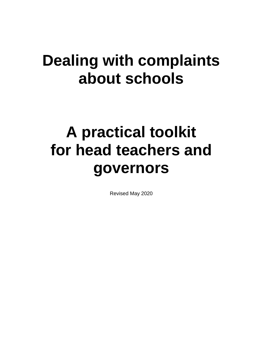# **Dealing with complaints about schools**

# **A practical toolkit for head teachers and governors**

Revised May 2020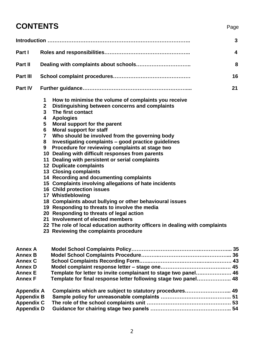# **CONTENTS** Page

|                   |              |                                                                              | 3 |  |  |  |
|-------------------|--------------|------------------------------------------------------------------------------|---|--|--|--|
| Part I            | 4            |                                                                              |   |  |  |  |
| Part II           | 8            |                                                                              |   |  |  |  |
| <b>Part III</b>   | 16           |                                                                              |   |  |  |  |
| <b>Part IV</b>    |              |                                                                              |   |  |  |  |
|                   | 1            | How to minimise the volume of complaints you receive                         |   |  |  |  |
|                   | $\mathbf{2}$ | Distinguishing between concerns and complaints                               |   |  |  |  |
|                   | 3            | The first contact                                                            |   |  |  |  |
|                   | 4<br>5       | <b>Apologies</b>                                                             |   |  |  |  |
|                   | 6            | Moral support for the parent<br><b>Moral support for staff</b>               |   |  |  |  |
|                   | 7            | Who should be involved from the governing body                               |   |  |  |  |
|                   | 8            | Investigating complaints - good practice guidelines                          |   |  |  |  |
|                   | 9            | Procedure for reviewing complaints at stage two                              |   |  |  |  |
|                   |              | 10 Dealing with difficult responses from parents                             |   |  |  |  |
|                   |              | 11 Dealing with persistent or serial complaints                              |   |  |  |  |
|                   |              | <b>12 Duplicate complaints</b>                                               |   |  |  |  |
|                   |              | 13 Closing complaints                                                        |   |  |  |  |
|                   |              | 14 Recording and documenting complaints                                      |   |  |  |  |
|                   |              | 15 Complaints involving allegations of hate incidents                        |   |  |  |  |
|                   |              | 16 Child protection issues                                                   |   |  |  |  |
|                   |              | 17 Whistleblowing                                                            |   |  |  |  |
|                   |              | 18 Complaints about bullying or other behavioural issues                     |   |  |  |  |
|                   |              | 19 Responding to threats to involve the media                                |   |  |  |  |
|                   |              | 20 Responding to threats of legal action                                     |   |  |  |  |
|                   |              | 21 Involvement of elected members                                            |   |  |  |  |
|                   |              | 22 The role of local education authority officers in dealing with complaints |   |  |  |  |
|                   |              | 23 Reviewing the complaints procedure                                        |   |  |  |  |
| <b>Annex A</b>    |              |                                                                              |   |  |  |  |
| <b>Annex B</b>    |              |                                                                              |   |  |  |  |
| <b>Annex C</b>    |              |                                                                              |   |  |  |  |
| <b>Annex D</b>    |              |                                                                              |   |  |  |  |
| <b>Annex E</b>    |              | Template for letter to invite complainant to stage two panel 46              |   |  |  |  |
| <b>Annex F</b>    |              | Template for final response letter following stage two panel 48              |   |  |  |  |
| <b>Appendix A</b> |              | Complaints which are subject to statutory procedures 49                      |   |  |  |  |
| <b>Appendix B</b> |              |                                                                              |   |  |  |  |
| <b>Appendix C</b> |              |                                                                              |   |  |  |  |
| <b>Appendix D</b> |              |                                                                              |   |  |  |  |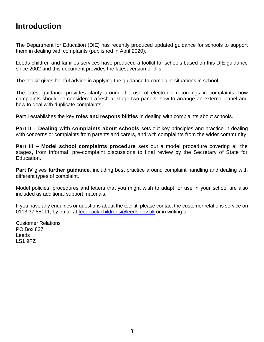# **Introduction**

The Department for Education (DfE) has recently produced updated guidance for schools to support them in dealing with complaints (published in April 2020).

Leeds children and families services have produced a toolkit for schools based on this DfE guidance since 2002 and this document provides the latest version of this.

The toolkit gives helpful advice in applying the guidance to complaint situations in school.

The latest guidance provides clarity around the use of electronic recordings in complaints, how complaints should be considered afresh at stage two panels, how to arrange an external panel and how to deal with duplicate complaints.

**Part I** establishes the key **roles and responsibilities** in dealing with complaints about schools.

**Part II** – **Dealing with complaints about schools** sets out key principles and practice in dealing with concerns or complaints from parents and carers, and with complaints from the wider community.

**Part III – Model school complaints procedure** sets out a model procedure covering all the stages, from informal, pre-complaint discussions to final review by the Secretary of State for Education.

**Part IV** gives **further guidance**, including best practice around complaint handling and dealing with different types of complaint.

Model policies, procedures and letters that you might wish to adapt for use in your school are also included as additional support materials.

If you have any enquiries or questions about the toolkit, please contact the customer relations service on 0113 37 85111, by email at [feedback.childrens@leeds.gov.uk](mailto:feedback.childrens@leeds.gov.uk) or in writing to:

Customer Relations PO Box 837 **Leeds** LS1 9PZ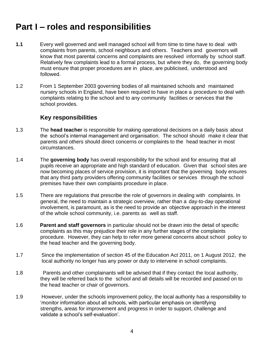# **Part I – roles and responsibilities**

- **1.1** Every well governed and well managed school will from time to time have to deal with complaints from parents, school neighbours and others. Teachers and governors will know that most parental concerns and complaints are resolved informally by school staff. Relatively few complaints lead to a formal process, but where they do, the governing body must ensure that proper procedures are in place, are publicised, understood and followed.
- 1.2 From 1 September 2003 governing bodies of all maintained schools and maintained nursery schools in England, have been required to have in place a procedure to deal with complaints relating to the school and to any community facilities or services that the school provides.

#### **Key responsibilities**

- 1.3 The **head teacher** is responsible for making operational decisions on a daily basis about the school's internal management and organisation. The school should make it clear that parents and others should direct concerns or complaints to the head teacher in most circumstances.
- 1.4 The **governing body** has overall responsibility for the school and for ensuring that all pupils receive an appropriate and high standard of education. Given that school sites are now becoming places of service provision, it is important that the governing body ensures that any third party providers offering community facilities or services through the school premises have their own complaints procedure in place.
- 1.5 There are regulations that prescribe the role of governors in dealing with complaints. In general, the need to maintain a strategic overview, rather than a day-to-day operational involvement, is paramount, as is the need to provide an objective approach in the interest of the whole school community, i.e. parents as well as staff.
- 1.6 **Parent and staff governors** in particular should not be drawn into the detail of specific complaints as this may prejudice their role in any further stages of the complaints procedure. However, they can help to refer more general concerns about school policy to the head teacher and the governing body.
- 1.7 Since the implementation of section 45 of the Education Act 2011, on 1 August 2012, the local authority no longer has any power or duty to intervene in school complaints.
- 1.8 Parents and other complainants will be advised that if they contact the local authority, they will be referred back to the school and all details will be recorded and passed on to the head teacher or chair of governors.
- 1.9 However, under the schools improvement policy, the local authority has a responsibility to 'monitor information about all schools, with particular emphasis on identifying strengths, areas for improvement and progress in order to support, challenge and validate a school's self-evaluation'.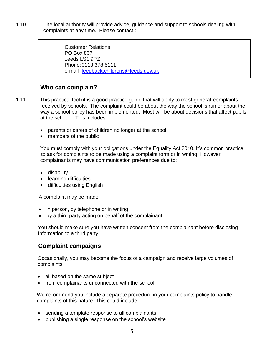1.10 The local authority will provide advice, guidance and support to schools dealing with complaints at any time. Please contact :

> Customer Relations PO Box 837 Leeds LS1 9PZ Phone:0113 378 5111 e-mail [feedback.childrens@leeds.gov.uk](mailto:feedback.childrens@leeds.gov.uk)

#### **Who can complain?**

1.11 This practical toolkit is a good practice guide that will apply to most general complaints received by schools. The complaint could be about the way the school is run or about the way a school policy has been implemented. Most will be about decisions that affect pupils at the school. This includes:

- parents or carers of children no longer at the school
- members of the public

You must comply with your obligations under the Equality Act 2010. It's common practice to ask for complaints to be made using a complaint form or in writing. However, complainants may have communication preferences due to:

- disability
- learning difficulties
- difficulties using English

A complaint may be made:

- in person, by telephone or in writing
- by a third party acting on behalf of the complainant

You should make sure you have written consent from the complainant before disclosing Information to a third party.

#### **Complaint campaigns**

Occasionally, you may become the focus of a campaign and receive large volumes of complaints:

- all based on the same subject
- from complainants unconnected with the school

We recommend you include a separate procedure in your complaints policy to handle complaints of this nature. This could include:

- sending a template response to all complainants
- publishing a single response on the school's website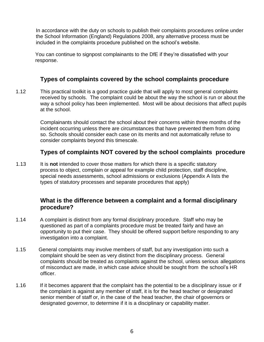In accordance with the duty on schools to publish their complaints procedures online under the School Information (England) Regulations 2008, any alternative process must be included in the complaints procedure published on the school's website.

You can continue to signpost complainants to the DfE if they're dissatisfied with your response.

#### **Types of complaints covered by the school complaints procedure**

1.12 This practical toolkit is a good practice guide that will apply to most general complaints received by schools. The complaint could be about the way the school is run or about the way a school policy has been implemented. Most will be about decisions that affect pupils at the school.

> Complainants should contact the school about their concerns within three months of the incident occurring unless there are circumstances that have prevented them from doing so. Schools should consider each case on its merits and not automatically refuse to consider complaints beyond this timescale.

#### **Types of complaints NOT covered by the school complaints procedure**

1.13 It is **not** intended to cover those matters for which there is a specific statutory process to object, complain or appeal for example child protection, staff discipline, special needs assessments, school admissions or exclusions (Appendix A lists the types of statutory processes and separate procedures that apply)

#### **What is the difference between a complaint and a formal disciplinary procedure?**

- 1.14 A complaint is distinct from any formal disciplinary procedure. Staff who may be questioned as part of a complaints procedure must be treated fairly and have an opportunity to put their case. They should be offered support before responding to any investigation into a complaint.
- 1.15 General complaints may involve members of staff, but any investigation into such a complaint should be seen as very distinct from the disciplinary process. General complaints should be treated as complaints against the school, unless serious allegations of misconduct are made, in which case advice should be sought from the school's HR officer.
- 1.16 If it becomes apparent that the complaint has the potential to be a disciplinary issue or if the complaint is against any member of staff, it is for the head teacher or designated senior member of staff or, in the case of the head teacher, the chair of governors or designated governor, to determine if it is a disciplinary or capability matter.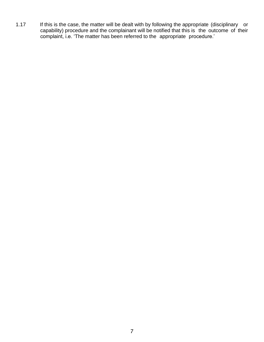1.17 If this is the case, the matter will be dealt with by following the appropriate (disciplinary or capability) procedure and the complainant will be notified that this is the outcome of their complaint, i.e. 'The matter has been referred to the appropriate procedure.'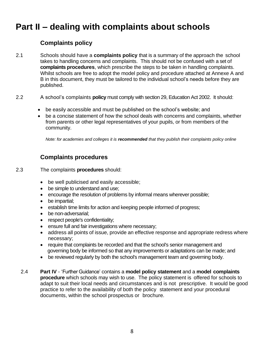# **Part II – dealing with complaints about schools**

#### **Complaints policy**

- 2.1 Schools should have a **complaints policy** that is a summary of the approach the school takes to handling concerns and complaints. This should not be confused with a set of **complaints procedures**, which prescribe the steps to be taken in handling complaints. Whilst schools are free to adopt the model policy and procedure attached at Annexe A and B in this document, they must be tailored to the individual school's needs before they are published.
- 2.2 A school's complaints **policy** must comply with section 29, Education Act 2002. It should:
	- be easily accessible and must be published on the school's website; and
	- be a concise statement of how the school deals with concerns and complaints, whether from parents or other legal representatives of your pupils, or from members of the community.

*Note: for academies and colleges it is recommended that they publish their complaints policy online*

### **Complaints procedures**

- 2.3 The complaints **procedures** should:
	- be well publicised and easily accessible;
	- be simple to understand and use;
	- encourage the resolution of problems by informal means wherever possible;
	- be impartial;
	- establish time limits for action and keeping people informed of progress;
	- be non-adversarial;
	- respect people's confidentiality;
	- ensure full and fair investigations where necessary;
	- address all points of issue, provide an effective response and appropriate redress where necessary;
	- require that complaints be recorded and that the school's senior management and governing body be informed so that any improvements or adaptations can be made; and
	- be reviewed regularly by both the school's management team and governing body.
	- 2.4 **Part IV** 'Further Guidance' contains a **model policy statement** and a **model complaints procedure** which schools may wish to use. The policy statement is offered for schools to adapt to suit their local needs and circumstances and is not prescriptive. It would be good practice to refer to the availability of both the policy statement and your procedural documents, within the school prospectus or brochure.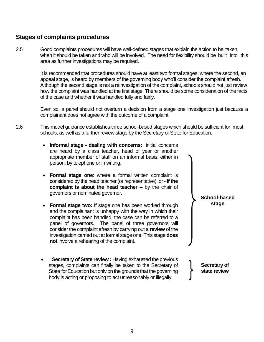#### **Stages of complaints procedures**

2.5 Good complaints procedures will have well-defined stages that explain the action to be taken, when it should be taken and who will be involved. The need for flexibility should be built into this area as further investigations may be required.

> It is recommended that procedures should have at least two formal stages, where the second, an appeal stage, is heard by members of the governing body who'll consider the complaint afresh. Although the second stage is not a reinvestigation of the complaint, schools should not just review how the complaint was handled at the first stage. There should be some consideration of the facts of the case and whether it was handled fully and fairly.

> Even so, a panel should not overturn a decision from a stage one investigation just because a complainant does not agree with the outcome of a complaint

> > **School-based stage**

- 2.6 This model guidance establishes three school-based stages which should be sufficient for most schools, as well as a further review stage by the Secretary of State for Education.
	- **Informal stage - dealing with concerns:** initial concerns are heard by a class teacher, head of year or another appropriate member of staff on an informal basis, either in person, by telephone or in writing.
	- **Formal stage one**: where a formal written complaint is considered by the head teacher (or representative), or - **if the complaint is about the head teacher –** by the chair of governors or nominated governor.
	- **Formal stage two:** If stage one has been worked through and the complainant is unhappy with the way in which their complaint has been handled, the case can be referred to a panel of governors. The panel of three governors will consider the complaint afresh by carrying out a **review** of the investigation carried out at formal stage one. This stage **does not** involve a rehearing of the complaint.
	- **Secretary of State review : Having exhausted the previous** stages, complaints can finally be taken to the Secretary of State for Education but only on the grounds that the governing body is acting or proposing to act unreasonably or illegally. **Secretary of state review**

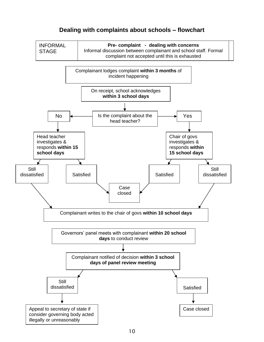#### **Dealing with complaints about schools – flowchart**

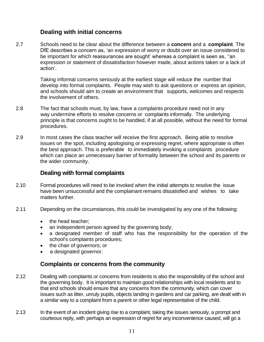#### **Dealing with initial concerns**

2.7 Schools need to be clear about the difference between a **concern** and a **complaint**. The DfE describes a concern as, 'an expression of worry or doubt over an issue considered to be important for which reassurances are sought' whereas a complaint is seen as, ''an expression or statement of dissatisfaction however made, about actions taken or a lack of action'.

> Taking informal concerns seriously at the earliest stage will reduce the number that develop into formal complaints. People may wish to ask questions or express an opinion, and schools should aim to create an environment that supports, welcomes and respects the involvement of others.

- 2.8 The fact that schools must, by law, have a complaints procedure need not in any way undermine efforts to resolve concerns or complaints informally. The underlying principle is that concerns ought to be handled, if at all possible, without the need for formal procedures.
- 2.9 In most cases the class teacher will receive the first approach. Being able to resolve issues on the spot, including apologising or expressing regret, where appropriate is often the best approach. This is preferable to immediately invoking a complaints procedure which can place an unnecessary barrier of formality between the school and its parents or the wider community.

#### **Dealing with formal complaints**

- 2.10 Formal procedures will need to be invoked when the initial attempts to resolve the issue have been unsuccessful and the complainant remains dissatisfied and wishes to take matters further.
- 2.11 Depending on the circumstances, this could be investigated by any one of the following:
	- the head teacher;
	- an independent person agreed by the governing body;
	- a designated member of staff who has the responsibility for the operation of the school's complaints procedures;
	- the chair of governors; or
	- a designated governor.

#### **Complaints or concerns from the community**

- 2.12 Dealing with complaints or concerns from residents is also the responsibility of the school and the governing body. It is important to maintain good relationships with local residents and to that end schools should ensure that any concerns from the community, which can cover issues such as litter, unruly pupils, objects landing in gardens and car parking, are dealt with in a similar way to a complaint from a parent or other legal representative of the child.
- 2.13 In the event of an incident giving rise to a complaint, taking the issues seriously, a prompt and courteous reply, with perhaps an expression of regret for any inconvenience caused, will go a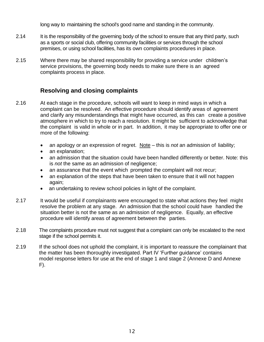long way to maintaining the school's good name and standing in the community.

- 2.14 It is the responsibility of the governing body of the school to ensure that any third party, such as a sports or social club, offering community facilities or services through the school premises, or using school facilities, has its own complaints procedures in place.
- 2.15 Where there may be shared responsibility for providing a service under children's service provisions, the governing body needs to make sure there is an agreed complaints process in place.

#### **Resolving and closing complaints**

- 2.16 At each stage in the procedure, schools will want to keep in mind ways in which a complaint can be resolved. An effective procedure should identify areas of agreement and clarify any misunderstandings that might have occurred, as this can create a positive atmosphere in which to try to reach a resolution. It might be sufficient to acknowledge that the complaint is valid in whole or in part. In addition, it may be appropriate to offer one or more of the following:
	- an apology or an expression of regret. Note this is *not* an admission of liability;
	- an explanation:
	- an admission that the situation could have been handled differently or better. Note: this is *not* the same as an admission of negligence;
	- an assurance that the event which prompted the complaint will not recur;
	- an explanation of the steps that have been taken to ensure that it will not happen again;
	- an undertaking to review school policies in light of the complaint.
- 2.17 It would be useful if complainants were encouraged to state what actions they feel might resolve the problem at any stage. An admission that the school could have handled the situation better is not the same as an admission of negligence. Equally, an effective procedure will identify areas of agreement between the parties.
- 2.18 The complaints procedure must not suggest that a complaint can only be escalated to the next stage if the school permits it.
- 2.19 If the school does not uphold the complaint, it is important to reassure the complainant that the matter has been thoroughly investigated. Part IV 'Further guidance' contains model response letters for use at the end of stage 1 and stage 2 (Annexe D and Annexe F).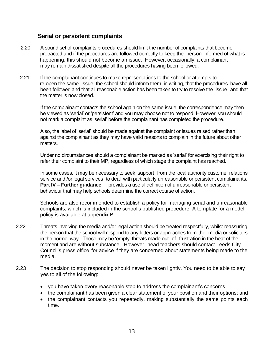#### **Serial or persistent complaints**

- 2.20 A sound set of complaints procedures should limit the number of complaints that become protracted and if the procedures are followed correctly to keep the person informed of what is happening, this should not become an issue. However, occasionally, a complainant may remain dissatisfied despite all the procedures having been followed.
- 2.21 If the complainant continues to make representations to the school or attempts to re-open the same issue, the school should inform them, in writing, that the procedures have all been followed and that all reasonable action has been taken to try to resolve the issue and that the matter is now closed.

If the complainant contacts the school again on the same issue, the correspondence may then be viewed as 'serial' or 'persistent' and you may choose not to respond. However, you should not mark a complaint as 'serial' before the complainant has completed the procedure.

Also, the label of 'serial' should be made against the complaint or issues raised rather than against the complainant as they may have valid reasons to complain in the future about other matters.

Under no circumstances should a complainant be marked as 'serial' for exercising their right to refer their complaint to their MP, regardless of which stage the complaint has reached.

In some cases, it may be necessary to seek support from the local authority customer relations service and /or legal services to deal with particularly unreasonable or persistent complainants. **Part IV – Further guidance** – provides a useful definition of unreasonable or persistent behaviour that may help schools determine the correct course of action.

Schools are also recommended to establish a policy for managing serial and unreasonable complaints, which is included in the school's published procedure. A template for a model policy is available at appendix B.

- 2.22 Threats involving the media and/or legal action should be treated respectfully, whilst reassuring the person that the school will respond to any letters or approaches from the media or solicitors in the normal way. These may be 'empty' threats made out of frustration in the heat of the moment and are without substance. However, head teachers should contact Leeds City Council's press office for advice if they are concerned about statements being made to the media.
- 2.23 The decision to stop responding should never be taken lightly. You need to be able to say yes to all of the following:
	- you have taken every reasonable step to address the complainant's concerns;
	- the complainant has been given a clear statement of your position and their options; and
	- the complainant contacts you repeatedly, making substantially the same points each time.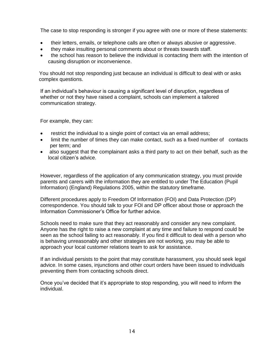The case to stop responding is stronger if you agree with one or more of these statements:

- their letters, emails, or telephone calls are often or always abusive or aggressive.
- they make insulting personal comments about or threats towards staff.
- the school has reason to believe the individual is contacting them with the intention of causing disruption or inconvenience.

You should not stop responding just because an individual is difficult to deal with or asks complex questions.

If an individual's behaviour is causing a significant level of disruption, regardless of whether or not they have raised a complaint, schools can implement a tailored communication strategy.

For example, they can:

- restrict the individual to a single point of contact via an email address;
- limit the number of times they can make contact, such as a fixed number of contacts per term; and
- also suggest that the complainant asks a third party to act on their behalf, such as the local citizen's advice.

However, regardless of the application of any communication strategy, you must provide parents and carers with the information they are entitled to under The Education (Pupil Information) (England) Regulations 2005, within the statutory timeframe.

Different procedures apply to Freedom Of Information (FOI) and Data Protection (DP) correspondence. You should talk to your FOI and DP officer about those or approach the Information Commissioner's Office for further advice.

Schools need to make sure that they act reasonably and consider any new complaint. Anyone has the right to raise a new complaint at any time and failure to respond could be seen as the school failing to act reasonably. If you find it difficult to deal with a person who is behaving unreasonably and other strategies are not working, you may be able to approach your local customer relations team to ask for assistance.

If an individual persists to the point that may constitute harassment, you should seek legal advice. In some cases, injunctions and other court orders have been issued to individuals preventing them from contacting schools direct.

Once you've decided that it's appropriate to stop responding, you will need to inform the individual.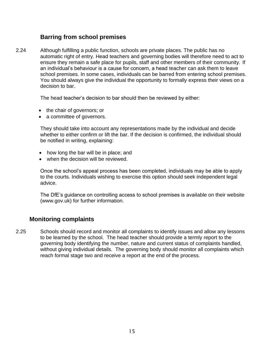#### **Barring from school premises**

2.24 Although fulfilling a public function, schools are private places. The public has no automatic right of entry. Head teachers and governing bodies will therefore need to act to ensure they remain a safe place for pupils, staff and other members of their community. If an individual's behaviour is a cause for concern, a head teacher can ask them to leave school premises. In some cases, individuals can be barred from entering school premises. You should always give the individual the opportunity to formally express their views on a decision to bar.

The head teacher's decision to bar should then be reviewed by either:

- the chair of governors; or
- a committee of governors.

They should take into account any representations made by the individual and decide whether to either confirm or lift the bar. If the decision is confirmed, the individual should be notified in writing, explaining:

- how long the bar will be in place; and
- when the decision will be reviewed.

Once the school's appeal process has been completed, individuals may be able to apply to the courts. Individuals wishing to exercise this option should seek independent legal advice.

The DfE's guidance on controlling access to school premises is available on their website (www.gov.uk) for further information.

#### **Monitoring complaints**

2.25 Schools should record and monitor all complaints to identify issues and allow any lessons to be learned by the school. The head teacher should provide a termly report to the governing body identifying the number, nature and current status of complaints handled, without giving individual details. The governing body should monitor all complaints which reach formal stage two and receive a report at the end of the process.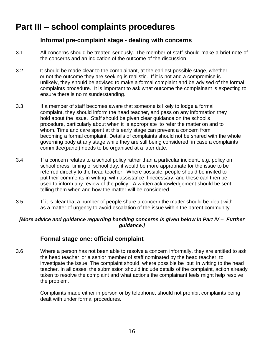# **Part III – school complaints procedures**

#### **Informal pre-complaint stage - dealing with concerns**

- 3.1 All concerns should be treated seriously. The member of staff should make a brief note of the concerns and an indication of the outcome of the discussion.
- 3.2 It should be made clear to the complainant, at the earliest possible stage, whether or not the outcome they are seeking is realistic. If it is not and a compromise is unlikely, they should be advised to make a formal complaint and be advised of the formal complaints procedure. It is important to ask what outcome the complainant is expecting to ensure there is no misunderstanding.
- 3.3 If a member of staff becomes aware that someone is likely to lodge a formal complaint, they should inform the head teacher, and pass on any information they hold about the issue. Staff should be given clear guidance on the school's procedure, particularly about when it is appropriate to refer the matter on and to whom. Time and care spent at this early stage can prevent a concern from becoming a formal complaint. Details of complaints should not be shared with the whole governing body at any stage while they are still being considered, in case a complaints committee(panel) needs to be organised at a later date.
- 3.4 If a concern relates to a school policy rather than a particular incident, e.g. policy on school dress, timing of school day, it would be more appropriate for the issue to be referred directly to the head teacher. Where possible, people should be invited to put their comments in writing, with assistance if necessary, and these can then be used to inform any review of the policy. A written acknowledgement should be sent telling them when and how the matter will be considered.
- 3.5 If it is clear that a number of people share a concern the matter should be dealt with as a matter of urgency to avoid escalation of the issue within the parent community.

#### *[More advice and guidance regarding handling concerns is given below in Part IV – Further guidance.]*

#### **Formal stage one: official complaint**

3.6 Where a person has not been able to resolve a concern informally, they are entitled to ask the head teacher or a senior member of staff nominated by the head teacher, to investigate the issue. The complaint should, where possible be put in writing to the head teacher. In all cases, the submission should include details of the complaint, action already taken to resolve the complaint and what actions the complainant feels might help resolve the problem.

> Complaints made either in person or by telephone, should not prohibit complaints being dealt with under formal procedures.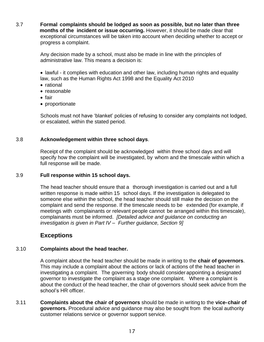3.7 **Formal complaints should be lodged as soon as possible, but no later than three months of the incident or issue occurring.** However, it should be made clear that exceptional circumstances will be taken into account when deciding whether to accept or progress a complaint.

> Any decision made by a school, must also be made in line with the principles of administrative law. This means a decision is:

• lawful - it complies with education and other law, including human rights and equality law, such as the Human Rights Act 1998 and the Equality Act 2010

- rational
- reasonable
- fair
- proportionate

 Schools must not have 'blanket' policies of refusing to consider any complaints not lodged, or escalated, within the stated period.

#### 3.8 **Acknowledgement within three school days**.

Receipt of the complaint should be acknowledged within three school days and will specify how the complaint will be investigated, by whom and the timescale within which a full response will be made.

#### 3.9 **Full response within 15 school days.**

The head teacher should ensure that a thorough investigation is carried out and a full written response is made within 15 school days. If the investigation is delegated to someone else within the school, the head teacher should still make the decision on the complaint and send the response. If the timescale needs to be extended (for example, if meetings with complainants or relevant people cannot be arranged within this timescale), complainants must be informed. *[Detailed advice and guidance on conducting an investigation is given in Part IV – Further guidance, Section 9]*

#### **Exceptions**

#### 3.10 **Complaints about the head teacher.**

A complaint about the head teacher should be made in writing to the **chair of governors**. This may include a complaint about the actions or lack of actions of the head teacher in investigating a complaint. The governing body should consider appointing a designated governor to investigate the complaint as a stage one complaint. Where a complaint is about the conduct of the head teacher, the chair of governors should seek advice from the school's HR officer.

3.11 **Complaints about the chair of governors** should be made in writing to the **vice-chair of governors.** Procedural advice and guidance may also be sought from the local authority customer relations service or governor support service.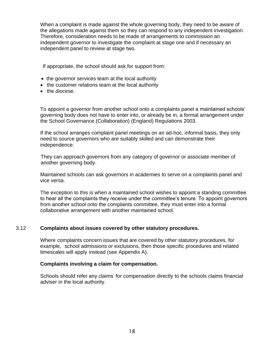When a complaint is made against the whole governing body, they need to be aware of the allegations made against them so they can respond to any independent investigation. Therefore, consideration needs to be made of arrangements to commission an independent governor to investigate the complaint at stage one and if necessary an independent panel to review at stage two.

If appropriate, the school should ask for support from:

- the governor services team at the local authority
- the customer relations team at the local authority
- the diocese.

To appoint a governor from another school onto a complaints panel a maintained schools' governing body does not have to enter into, or already be in, a formal arrangement under the School Governance (Collaboration) (England) Regulations 2003.

If the school arranges complaint panel meetings on an ad-hoc, informal basis, they only need to source governors who are suitably skilled and can demonstrate their independence.

 They can approach governors from any category of governor or associate member of another governing body.

Maintained schools can ask governors in academies to serve on a complaints panel and vice versa.

The exception to this is when a maintained school wishes to appoint a standing committee to hear all the complaints they receive under the committee's tenure. To appoint governors from another school onto the complaints committee, they must enter into a formal collaborative arrangement with another maintained school.

#### 3.12 **Complaints about issues covered by other statutory procedures.**

Where complaints concern issues that are covered by other statutory procedures, for example, school admissions or exclusions, then those specific procedures and related timescales will apply instead (see Appendix A).

#### **Complaints involving a claim for compensation.**

Schools should refer any claims for compensation directly to the schools claims financial adviser in the local authority.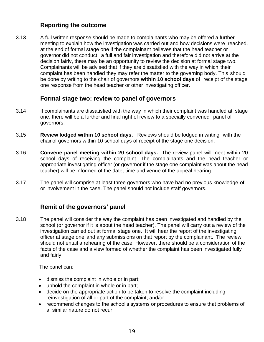#### **Reporting the outcome**

3.13 A full written response should be made to complainants who may be offered a further meeting to explain how the investigation was carried out and how decisions were reached. at the end of formal stage one if the complainant believes that the head teacher or governor did not conduct a full and fair investigation and therefore did not arrive at the decision fairly, there may be an opportunity to review the decision at formal stage two. Complainants will be advised that if they are dissatisfied with the way in which their complaint has been handled they may refer the matter to the governing body. This should be done by writing to the chair of governors **within 10 school days** of receipt of the stage one response from the head teacher or other investigating officer.

#### **Formal stage two: review to panel of governors**

- 3.14 If complainants are dissatisfied with the way in which their complaint was handled at stage one, there will be a further and final right of review to a specially convened panel of governors.
- 3.15 **Review lodged within 10 school days.** Reviews should be lodged in writing with the chair of governors within 10 school days of receipt of the stage one decision.
- 3.16 **Convene panel meeting within 20 school days.** The review panel will meet within 20 school days of receiving the complaint. The complainants and the head teacher or appropriate investigating officer (or governor if the stage one complaint was about the head teacher) will be informed of the date, time and venue of the appeal hearing.
- 3.17 The panel will comprise at least three governors who have had no previous knowledge of or involvement in the case. The panel should not include staff governors.

#### **Remit of the governors' panel**

3.18 The panel will consider the way the complaint has been investigated and handled by the school (or governor if it is about the head teacher). The panel will carry out a review of the investigation carried out at formal stage one. It will hear the report of the investigating officer at stage one and any submissions on that report by the complainant. The review should not entail a rehearing of the case. However, there should be a consideration of the facts of the case and a view formed of whether the complaint has been investigated fully and fairly.

The panel can:

- dismiss the complaint in whole or in part;
- uphold the complaint in whole or in part;
- decide on the appropriate action to be taken to resolve the complaint including reinvestigation of all or part of the complaint; and/or
- recommend changes to the school's systems or procedures to ensure that problems of a similar nature do not recur.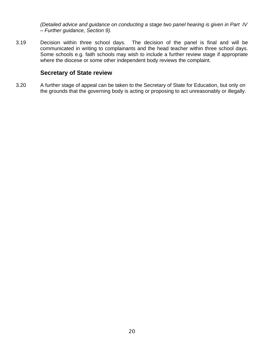*(Detailed advice and guidance on conducting a stage two panel hearing is given in Part IV – Further guidance, Section 9).*

3.19 Decision within three school days. The decision of the panel is final and will be communicated in writing to complainants and the head teacher within three school days. Some schools e.g. faith schools may wish to include a further review stage if appropriate where the diocese or some other independent body reviews the complaint.

#### **Secretary of State review**

3.20 A further stage of appeal can be taken to the Secretary of State for Education, but only on the grounds that the governing body is acting or proposing to act unreasonably or illegally.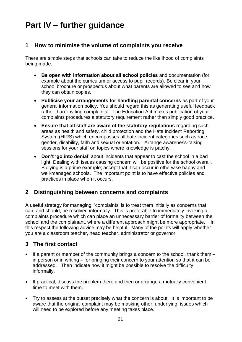# **Part IV – further guidance**

#### **1 How to minimise the volume of complaints you receive**

There are simple steps that schools can take to reduce the likelihood of complaints being made.

- **Be open with information about all school policies** and documentation (for example about the curriculum or access to pupil records). Be clear in your school brochure or prospectus about what parents are allowed to see and how they can obtain copies.
- **Publicise your arrangements for handling parental concerns** as part of your general information policy. You should regard this as generating useful feedback rather than 'inviting complaints'. The Education Act makes publication of your complaints procedures a statutory requirement rather than simply good practice.
- **Ensure that all staff are aware of the statutory regulations** regarding such areas as health and safety, child protection and the Hate Incident Reporting System (HIRS) which encompasses all hate incident categories such as race, gender, disability, faith and sexual orientation. Arrange awareness-raising sessions for your staff on topics where knowledge is patchy.
- **Don't 'go into denial'** about incidents that appear to cast the school in a bad light. Dealing with issues causing concern will be positive for the school overall. Bullying is a prime example; accept that it can occur in otherwise happy and well-managed schools. The important point is to have effective policies and practices in place when it occurs.

#### **2 Distinguishing between concerns and complaints**

A useful strategy for managing 'complaints' is to treat them initially as concerns that can, and should, be resolved informally. This is preferable to immediately invoking a complaints procedure which can place an unnecessary barrier of formality between the school and the complainant, where a different approach might be more appropriate. In this respect the following advice may be helpful. Many of the points will apply whether you are a classroom teacher, head teacher, administrator or governor.

#### **3 The first contact**

- If a parent or member of the community brings a concern to the school, thank them  $$ in person or in writing – for bringing their concern to your attention so that it can be addressed. Then indicate how it might be possible to resolve the difficulty informally.
- If practical, discuss the problem there and then or arrange a mutually convenient time to meet with them.
- Try to assess at the outset precisely what the concern is about. It is important to be aware that the original complaint may be masking other, underlying, issues which will need to be explored before any meeting takes place.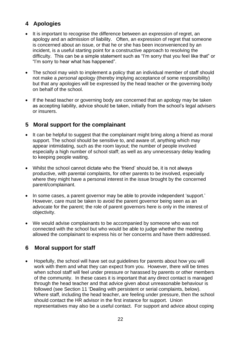#### **4 Apologies**

- It is important to recognise the difference between an expression of regret, an apology and an admission of liability. Often, an expression of regret that someone is concerned about an issue, or that he or she has been inconvenienced by an incident, is a useful starting point for a constructive approach to resolving the difficulty. This can be a simple statement such as "I'm sorry that you feel like that" or "I'm sorry to hear what has happened".
- The school may wish to implement a policy that an individual member of staff should not make a *personal* apology (thereby implying acceptance of some responsibility) but that any apologies will be expressed by the head teacher or the governing body on behalf of the school.
- If the head teacher or governing body are concerned that an apology may be taken as accepting liability, advice should be taken, initially from the school's legal advisers or insurers.

#### **5 Moral support for the complainant**

- It can be helpful to suggest that the complainant might bring along a friend as moral support. The school should be sensitive to, and aware of, anything which may appear intimidating, such as the room layout; the number of people involved especially a high number of school staff; as well as any unnecessary delay leading to keeping people waiting.
- Whilst the school cannot dictate who the 'friend' should be, it is not always productive, with parental complaints, for other parents to be involved, especially where they might have a personal interest in the issue brought by the concerned parent/complainant.
- In some cases, a parent governor may be able to provide independent 'support.' However, care must be taken to avoid the parent governor being seen as an advocate for the parent; the role of parent governors here is only in the interest of objectivity.
- We would advise complainants to be accompanied by someone who was not connected with the school but who would be able to judge whether the meeting allowed the complainant to express his or her concerns and have them addressed.

#### **6 Moral support for staff**

• Hopefully, the school will have set out guidelines for parents about how you will work with them and what they can expect from you. However, there will be times when school staff will feel under pressure or harassed by parents or other members of the community. In these cases it is important that any direct contact is managed through the head teacher and that advice given about unreasonable behaviour is followed (see Section 11 'Dealing with persistent or serial complaints, below). Where staff, including the head teacher, are feeling under pressure, then the school should contact the HR advisor in the first instance for support. Union representatives may also be a useful contact. For support and advice about coping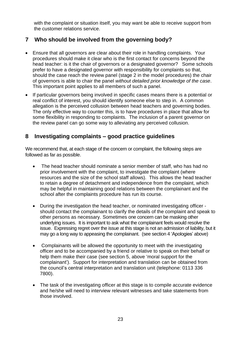with the complaint or situation itself, you may want be able to receive support from the customer relations service.

#### **7 Who should be involved from the governing body?**

- Ensure that all governors are clear about their role in handling complaints. Your procedures should make it clear who is the first contact for concerns beyond the head teacher: is it the chair of governors or a designated governor? Some schools prefer to have a designated governor with responsibility for complaints so that, should the case reach the review panel (stage 2 in the model procedures) the chair of governors is able to chair the panel *without detailed prior knowledge of the case*. This important point applies to all members of such a panel.
- If particular governors being involved in specific cases means there is a potential or real conflict of interest, you should identify someone else to step in. A common allegation is the perceived collusion between head teachers and governing bodies. The only effective way to counter this, is to have procedures in place that allow for some flexibility in responding to complaints. The inclusion of a parent governor on the review panel can go some way to alleviating any perceived collusion.

#### **8 Investigating complaints – good practice guidelines**

We recommend that, at each stage of the concern or complaint, the following steps are followed as far as possible.

- The head teacher should nominate a senior member of staff, who has had no prior involvement with the complaint, to investigate the complaint (where resources and the size of the school staff allows). This allows the head teacher to retain a degree of detachment and independence from the complaint, which may be helpful in maintaining good relations between the complainant and the school after the complaints procedure has run its course.
- During the investigation the head teacher, or nominated investigating officer should contact the complainant to clarify the details of the complaint and speak to other persons as necessary. Sometimes one concern can be masking other underlying issues. It is important to ask what the complainant feels would resolve the issue. Expressing regret over the issue at this stage is not an admission of liability, but it may go a long way to appeasing the complainant. (see section 4 'Apologies' above)
- Complainants will be allowed the opportunity to meet with the investigating officer and to be accompanied by a friend or relative to speak on their behalf or help them make their case (see section 5, above 'moral support for the complainant'). Support for interpretation and translation can be obtained from the council's central interpretation and translation unit (telephone: 0113 336 7800).
- The task of the investigating officer at this stage is to compile accurate evidence and he/she will need to interview relevant witnesses and take statements from those involved.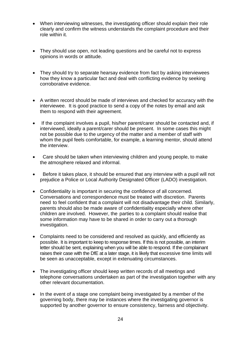- When interviewing witnesses, the investigating officer should explain their role clearly and confirm the witness understands the complaint procedure and their role within it.
- They should use open, not leading questions and be careful not to express opinions in words or attitude.
- They should try to separate hearsay evidence from fact by asking interviewees how they know a particular fact and deal with conflicting evidence by seeking corroborative evidence.
- A written record should be made of interviews and checked for accuracy with the interviewee. It is good practice to send a copy of the notes by email and ask them to respond with their agreement.
- If the complaint involves a pupil, his/her parent/carer should be contacted and, if interviewed, ideally a parent/carer should be present. In some cases this might not be possible due to the urgency of the matter and a member of staff with whom the pupil feels comfortable, for example, a learning mentor, should attend the interview.
- Care should be taken when interviewing children and young people, to make the atmosphere relaxed and informal.
- Before it takes place, it should be ensured that any interview with a pupil will not prejudice a Police or Local Authority Designated Officer (LADO) investigation.
- Confidentiality is important in securing the confidence of all concerned. Conversations and correspondence must be treated with discretion. Parents need to feel confident that a complaint will not disadvantage their child. Similarly, parents should also be made aware of confidentiality especially where other children are involved. However, the parties to a complaint should realise that some information may have to be shared in order to carry out a thorough investigation.
- Complaints need to be considered and resolved as quickly, and efficiently as possible. It is important to keep to response times. If this is not possible, an interim letter should be sent, explaining when you will be able to respond. If the complainant raises their case with the DfE at a later stage, it is likely that excessive time limits will be seen as unacceptable, except in extenuating circumstances.
- The investigating officer should keep written records of all meetings and telephone conversations undertaken as part of the investigation together with any other relevant documentation.
- In the event of a stage one complaint being investigated by a member of the governing body, there may be instances where the investigating governor is supported by another governor to ensure consistency, fairness and objectivity.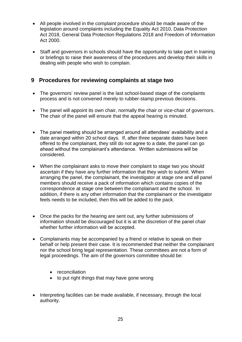- All people involved in the complaint procedure should be made aware of the legislation around complaints including the Equality Act 2010, Data Protection Act 2018, General Data Protection Regulations 2018 and Freedom of Information Act 2000.
- Staff and governors in schools should have the opportunity to take part in training or briefings to raise their awareness of the procedures and develop their skills in dealing with people who wish to complain.

#### **9 Procedures for reviewing complaints at stage two**

- The governors' review panel is the last school-based stage of the complaints process and is not convened merely to rubber-stamp previous decisions.
- The panel will appoint its own chair, normally the chair or vice-chair of governors. The chair of the panel will ensure that the appeal hearing is minuted.
- The panel meeting should be arranged around all attendees' availability and a date arranged within 20 school days. If, after three separate dates have been offered to the complainant, they still do not agree to a date, the panel can go ahead without the complainant's attendance. Written submissions will be considered.
- When the complainant asks to move their complaint to stage two you should ascertain if they have any further information that they wish to submit. When arranging the panel, the complainant, the investigator at stage one and all panel members should receive a pack of information which contains copies of the correspondence at stage one between the complainant and the school. In addition, if there is any other information that the complainant or the investigator feels needs to be included, then this will be added to the pack.
- Once the packs for the hearing are sent out, any further submissions of information should be discouraged but it is at the discretion of the panel chair whether further information will be accepted.
- Complainants may be accompanied by a friend or relative to speak on their behalf or help present their case. It is recommended that neither the complainant nor the school bring legal representation. These committees are not a form of legal proceedings. The aim of the governors committee should be:
	- reconciliation
	- to put right things that may have gone wrong
- Interpreting facilities can be made available, if necessary, through the local authority.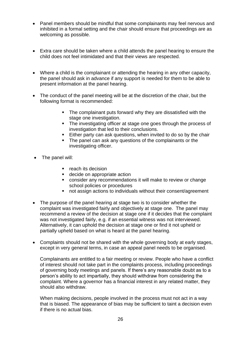- Panel members should be mindful that some complainants may feel nervous and inhibited in a formal setting and the chair should ensure that proceedings are as welcoming as possible.
- Extra care should be taken where a child attends the panel hearing to ensure the child does not feel intimidated and that their views are respected.
- Where a child is the complainant or attending the hearing in any other capacity, the panel should ask in advance if any support is needed for them to be able to present information at the panel hearing.
- The conduct of the panel meeting will be at the discretion of the chair, but the following format is recommended:
	- **The complainant puts forward why they are dissatisfied with the** stage one investigation.
	- **The investigating officer at stage one goes through the process of** investigation that led to their conclusions.
	- **Either party can ask questions, when invited to do so by the chair**
	- The panel can ask any questions of the complainants or the investigating officer.
- The panel will:
	- reach its decision
	- decide on appropriate action
	- consider any recommendations it will make to review or change school policies or procedures
	- not assign actions to individuals without their consent/agreement
- The purpose of the panel hearing at stage two is to consider whether the complaint was investigated fairly and objectively at stage one. The panel may recommend a review of the decision at stage one if it decides that the complaint was not investigated fairly, e.g. if an essential witness was not interviewed. Alternatively, it can uphold the decision at stage one or find it not upheld or partially upheld based on what is heard at the panel hearing.
- Complaints should not be shared with the whole governing body at early stages, except in very general terms, in case an appeal panel needs to be organised.

Complainants are entitled to a fair meeting or review. People who have a conflict of interest should not take part in the complaints process, including proceedings of governing body meetings and panels. If there's any reasonable doubt as to a person's ability to act impartially, they should withdraw from considering the complaint. Where a governor has a financial interest in any related matter, they should also withdraw.

When making decisions, people involved in the process must not act in a way that is biased. The appearance of bias may be sufficient to taint a decision even if there is no actual bias.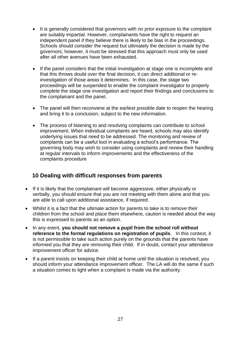- It is generally considered that governors with no prior exposure to the complaint are suitably impartial. However, complainants have the right to request an independent panel if they believe there is likely to be bias in the proceedings. Schools should consider the request but ultimately the decision is made by the governors; however, it must be stressed that this approach must only be used after all other avenues have been exhausted.
- If the panel considers that the initial investigation at stage one is incomplete and that this throws doubt over the final decision, it can direct additional or reinvestigation of those areas it determines. In this case, the stage two proceedings will be suspended to enable the complaint investigator to properly complete the stage one investigation and report their findings and conclusions to the complainant and the panel.
- The panel will then reconvene at the earliest possible date to reopen the hearing and bring it to a conclusion, subject to the new information.
- The process of listening to and resolving complaints can contribute to school improvement. When individual complaints are heard, schools may also identify underlying issues that need to be addressed. The monitoring and review of complaints can be a useful tool in evaluating a school's performance. The governing body may wish to consider using complaints and review their handling at regular intervals to inform improvements and the effectiveness of the complaints procedure

#### **10 Dealing with difficult responses from parents**

- If it is likely that the complainant will become aggressive, either physically or verbally, you should ensure that you are not meeting with them alone and that you are able to call upon additional assistance, if required.
- Whilst it is a fact that the ultimate action for parents to take is to remove their children from the school and place them elsewhere, caution is needed about the way this is expressed to parents as an option.
- In any event, **you should not remove a pupil from the school roll without reference to the formal regulations on registration of pupils**. In this context, it is not permissible to take such action purely on the grounds that the parents have informed you that they are removing their child. If in doubt, contact your attendance improvement officer for advice.
- If a parent insists on keeping their child at home until the situation is resolved, you should inform your attendance improvement officer. The LA will do the same if such a situation comes to light when a complaint is made via the authority.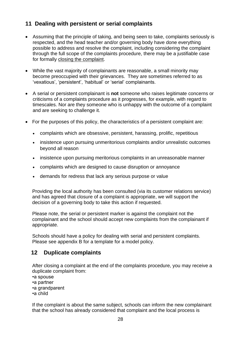#### **11 Dealing with persistent or serial complaints**

- Assuming that the principle of taking, and being seen to take, complaints seriously is respected, and the head teacher and/or governing body have done everything possible to address and resolve the complaint, including considering the complaint through the full scope of the complaints procedure, there may be a justifiable case for formally [closing the complaint.](#page-27-0)
- While the vast majority of complainants are reasonable, a small minority may become preoccupied with their grievances. They are sometimes referred to as 'vexatious', 'persistent', 'habitual' or 'serial' complainants.
- A serial or persistent complainant is **not** someone who raises legitimate concerns or criticisms of a complaints procedure as it progresses, for example, with regard to timescales. Nor are they someone who is unhappy with the outcome of a complaint and are seeking to challenge it.
- For the purposes of this policy, the characteristics of a persistent complaint are:
	- complaints which are obsessive, persistent, harassing, prolific, repetitious
	- insistence upon pursuing unmeritorious complaints and/or unrealistic outcomes beyond all reason
	- insistence upon pursuing meritorious complaints in an unreasonable manner
	- complaints which are designed to cause disruption or annoyance
	- demands for redress that lack any serious purpose or value

Providing the local authority has been consulted (via its customer relations service) and has agreed that closure of a complaint is appropriate, we will support the decision of a governing body to take this action if requested.

Please note, the serial or persistent marker is against the complaint not the complainant and the school should accept new complaints from the complainant if appropriate.

Schools should have a policy for dealing with serial and persistent complaints. Please see appendix B for a template for a model policy.

#### <span id="page-27-0"></span>**12 Duplicate complaints**

After closing a complaint at the end of the complaints procedure, you may receive a duplicate complaint from:

•a spouse •a partner •a grandparent

•a child

If the complaint is about the same subject, schools can inform the new complainant that the school has already considered that complaint and the local process is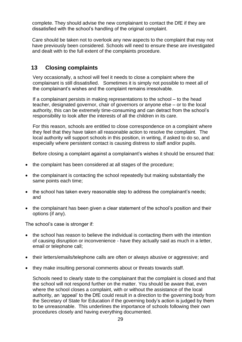complete. They should advise the new complainant to contact the DfE if they are dissatisfied with the school's handling of the original complaint.

Care should be taken not to overlook any new aspects to the complaint that may not have previously been considered. Schools will need to ensure these are investigated and dealt with to the full extent of the complaints procedure.

#### **13 Closing complaints**

Very occasionally, a school will feel it needs to close a complaint where the complainant is still dissatisfied. Sometimes it is simply not possible to meet all of the complainant's wishes and the complaint remains irresolvable.

If a complainant persists in making representations to the school – to the head teacher, designated governor, chair of governors or anyone else – or to the local authority, this can be extremely time-consuming and can detract from the school's responsibility to look after the interests of all the children in its care.

For this reason, schools are entitled to close correspondence on a complaint where they feel that they have taken all reasonable action to resolve the complaint. The local authority will support schools in this position, in writing, if asked to do so, and especially where persistent contact is causing distress to staff and/or pupils.

Before closing a complaint against a complainant's wishes it should be ensured that:

- the complaint has been considered at all stages of the procedure;
- the complainant is contacting the school repeatedly but making substantially the same points each time;
- the school has taken every reasonable step to address the complainant's needs; and
- the complainant has been given a clear statement of the school's position and their options (if any).

The school's case is stronger if:

- the school has reason to believe the individual is contacting them with the intention of causing disruption or inconvenience - have they actually said as much in a letter, email or telephone call;
- their letters/emails/telephone calls are often or always abusive or aggressive; and
- they make insulting personal comments about or threats towards staff.

Schools need to clearly state to the complainant that the complaint is closed and that the school will not respond further on the matter. You should be aware that, even where the school closes a complaint, with or without the assistance of the local authority, an 'appeal' to the DfE could result in a direction to the governing body from the Secretary of State for Education if the governing body's action is judged by them to be unreasonable. This underlines the importance of schools following their own procedures closely and having everything documented.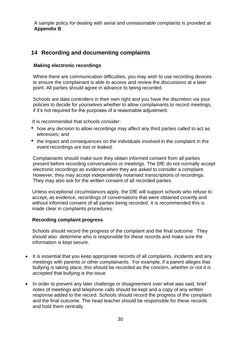A sample policy for dealing with serial and unreasonable complaints is provided at **Appendix B**

#### **14 Recording and documenting complaints**

#### **Making electronic recordings**

Where there are communication difficulties, you may wish to use recording devices to ensure the complainant is able to access and review the discussions at a later point. All parties should agree in advance to being recorded.

Schools are data controllers in their own right and you have the discretion via your policies to decide for yourselves whether to allow complainants to record meetings, if it's not required for the purposes of a reasonable adjustment.

It is recommended that schools consider:

- how any decision to allow recordings may affect any third parties called to act as witnesses; and
- the impact and consequences on the individuals involved in the complaint in the event recordings are lost or leaked.

Complainants should make sure they obtain informed consent from all parties present before recording conversations or meetings. The DfE do not normally accept electronic recordings as evidence when they are asked to consider a complaint. However, they may accept independently notarised transcriptions of recordings. They may also ask for the written consent of all recorded parties.

Unless exceptional circumstances apply, the DfE will support schools who refuse to accept, as evidence, recordings of conversations that were obtained covertly and without informed consent of all parties being recorded. It is recommended this is made clear in complaints procedures.

#### **Recording complaint progress**

Schools should record the progress of the complaint and the final outcome. They should also determine who is responsible for these records and make sure the information is kept secure.

- It is essential that you keep appropriate records of all complaints, incidents and any meetings with parents or other complainants. For example, if a parent alleges that bullying is taking place, this should be recorded as the concern, *whether or not it is accepted* that bullying is the issue.
- In order to prevent any later challenge or disagreement over what was said, brief notes of meetings and telephone calls should be kept and a copy of any written response added to the record. Schools should record the progress of the complaint and the final outcome. The head teacher should be responsible for these records and hold them centrally.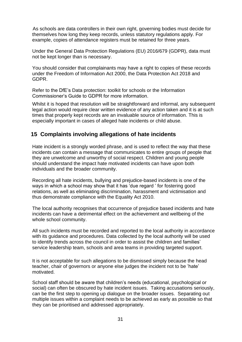As schools are data controllers in their own right, governing bodies must decide for themselves how long they keep records, unless statutory regulations apply. For example, copies of attendance registers must be retained for three years.

Under the General Data Protection Regulations (EU) 2016/679 (GDPR), data must not be kept longer than is necessary.

You should consider that complainants may have a right to copies of these records under the Freedom of Information Act 2000, the Data Protection Act 2018 and GDPR.

Refer to the DfE's Data protection: toolkit for schools or the Information Commissioner's Guide to GDPR for more information.

Whilst it is hoped that resolution will be straightforward and informal, any subsequent legal action would require clear written evidence of any action taken and it is at such times that properly kept records are an invaluable source of information. This is especially important in cases of alleged hate incidents or child abuse.

#### **15 Complaints involving allegations of hate incidents**

Hate incident is a strongly worded phrase, and is used to reflect the way that these incidents can contain a message that communicates to entire groups of people that they are unwelcome and unworthy of social respect. Children and young people should understand the impact hate motivated incidents can have upon both individuals and the broader community.

Recording all hate incidents, bullying and prejudice-based incidents is one of the ways in which a school may show that it has 'due regard ' for fostering good relations, as well as eliminating discrimination, harassment and victimisation and thus demonstrate compliance with the Equality Act 2010.

The local authority recognises that occurrence of prejudice based incidents and hate incidents can have a detrimental effect on the achievement and wellbeing of the whole school community.

All such incidents must be recorded and reported to the local authority in accordance with its guidance and procedures. Data collected by the local authority will be used to identify trends across the council in order to assist the children and families' service leadership team, schools and area teams in providing targeted support.

It is not acceptable for such allegations to be dismissed simply because the head teacher, chair of governors or anyone else judges the incident not to be 'hate' motivated.

School staff should be aware that children's needs (educational, psychological or social) can often be obscured by hate incident issues. Taking accusations seriously, can be the first step to opening up dialogue on the broader issues. Separating out multiple issues within a complaint needs to be achieved as early as possible so that they can be prioritised and addressed appropriately.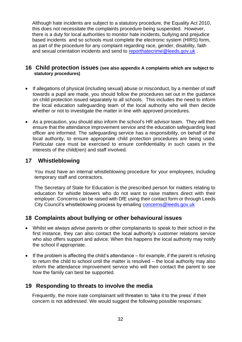Although hate incidents are subject to a statutory procedure, the Equality Act 2010, this does not necessitate the complaints procedure being suspended. However, there is a duty for local authorities to monitor hate incidents, bullying and prejudice based incidents and so schools must complete the electronic system (HIRS) form, as part of the procedure for any complaint regarding race, gender, disability, faith and sexual orientation incidents and send to [reporthatecrime@leeds.gov.uk](mailto:reporthatecrime@leeds.gov.uk).

#### **16 Child protection issues (see also appendix A complaints which are subject to statutory procedures)**

- If allegations of physical (including sexual) abuse or misconduct, by a member of staff towards a pupil are made, you should follow the procedures set out in the guidance on child protection issued separately to all schools. This includes the need to inform the local education safeguarding team of the local authority who will then decide whether or not to investigate the matter in line with approved procedures.
- As a precaution, you should also inform the school's HR advisor team. They will then ensure that the attendance improvement service and the education safeguarding lead officer are informed. The safeguarding service has a responsibility, on behalf of the local authority, to ensure appropriate child protection procedures are being used. Particular care must be exercised to ensure confidentiality in such cases in the interests of the child(ren) and staff involved.

#### **17 Whistleblowing**

You must have an internal whistleblowing procedure for your employees, including temporary staff and contractors.

The Secretary of State for Education is the prescribed person for matters relating to education for whistle blowers who do not want to raise matters direct with their employer. Concerns can be raised with DfE using their contact form or through Leeds City Council's whistleblowing process by emailing [concerns@leeds.gov.uk](mailto:concerns@leeds.gov.uk)

#### **18 Complaints about bullying or other behavioural issues**

- Whilst we always advise parents or other complainants to speak to their school in the first instance, they can also contact the local authority's customer relations service who also offers support and advice. When this happens the local authority may notify the school if appropriate.
- $\bullet$  If the problem is affecting the child's attendance for example, if the parent is refusing to return the child to school until the matter is resolved – the local authority may also inform the attendance improvement service who will then contact the parent to see how the family can best be supported.

#### **19 Responding to threats to involve the media**

Frequently, the more irate complainant will threaten to 'take it to the press' if their concern is not addressed. We would suggest the following possible responses: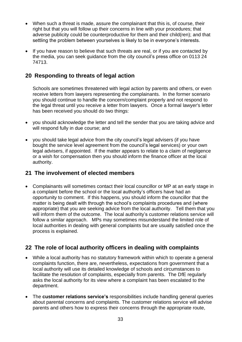- When such a threat is made, assure the complainant that this is, of course, their right but that you will follow up their concerns in line with your procedures; that adverse publicity could be counterproductive for them and their child(ren); and that settling the problem between yourselves is likely to be in everyone's interests.
- If you have reason to believe that such threats are real, or if you are contacted by the media, you can seek guidance from the city council's press office on 0113 24 74713.

#### **20 Responding to threats of legal action**

Schools are sometimes threatened with legal action by parents and others, or even receive letters from lawyers representing the complainants. In the former scenario you should continue to handle the concern/complaint properly and not respond to the legal threat until you receive a letter from lawyers. Once a formal lawyer's letter has been received you should do two things:

- you should acknowledge the letter and tell the sender that you are taking advice and will respond fully in due course; and
- you should take legal advice from the city council's legal advisers (if you have bought the service level agreement from the council's legal services) or your own legal advisers, if appointed. If the matter appears to relate to a claim of negligence or a wish for compensation then you should inform the finance officer at the local authority.

#### **21 The involvement of elected members**

• Complainants will sometimes contact their local councillor or MP at an early stage in a complaint before the school or the local authority's officers have had an opportunity to comment. If this happens, you should inform the councillor that the matter is being dealt with through the school's complaints procedures and (where appropriate) that you are seeking advice from the local authority. Tell them that you will inform them of the outcome. The local authority's customer relations service will follow a similar approach. MPs may sometimes misunderstand the limited role of local authorities in dealing with general complaints but are usually satisfied once the process is explained.

#### **22 The role of local authority officers in dealing with complaints**

- While a local authority has no statutory framework within which to operate a general complaints function, there are, nevertheless, expectations from government that a local authority will use its detailed knowledge of schools and circumstances to facilitate the resolution of complaints, especially from parents. The DfE regularly asks the local authority for its view where a complaint has been escalated to the department.
- The **customer relations service's** responsibilities include handling general queries about parental concerns and complaints. The customer relations service will advise parents and others how to express their concerns through the appropriate route,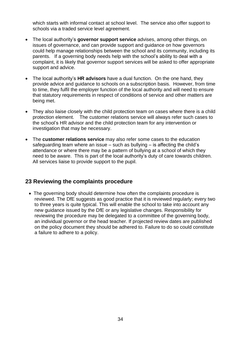which starts with informal contact at school level. The service also offer support to schools via a traded service level agreement.

- The local authority's **governor support service** advises, among other things, on issues of governance, and can provide support and guidance on how governors could help manage relationships between the school and its community, including its parents. If a governing body needs help with the school's ability to deal with a complaint, it is likely that governor support services will be asked to offer appropriate support and advice.
- The local authority's **HR advisors** have a dual function. On the one hand, they provide advice and guidance to schools on a subscription basis. However, from time to time, they fulfil the employer function of the local authority and will need to ensure that statutory requirements in respect of conditions of service and other matters are being met.
- They also liaise closely with the child protection team on cases where there is a child protection element. The customer relations service will always refer such cases to the school's HR advisor and the child protection team for any intervention or investigation that may be necessary.
- The **customer relations service** may also refer some cases to the education safeguarding team where an issue – such as bullying – is affecting the child's attendance or where there may be a pattern of bullying at a school of which they need to be aware. This is part of the local authority's duty of care towards children. All services liaise to provide support to the pupil.

#### **23 Reviewing the complaints procedure**

• The governing body should determine how often the complaints procedure is reviewed. The DfE suggests as good practice that it is reviewed regularly; every two to three years is quite typical. This will enable the school to take into account any new guidance issued by the DfE or any legislative changes. Responsibility for reviewing the procedure may be delegated to a committee of the governing body, an individual governor or the head teacher. If projected review dates are published on the policy document they should be adhered to. Failure to do so could constitute a failure to adhere to a policy.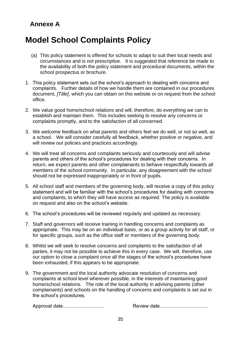## **Annexe A**

# **Model School Complaints Policy**

- (a) This policy statement is offered for schools to adapt to suit their local needs and circumstances and is not prescriptive. It is suggested that reference be made to the availability of both the policy statement and procedural documents, within the school prospectus or brochure.
- 1. This policy statement sets out the school's approach to dealing with concerns and complaints. Further details of how we handle them are contained in our procedures document, *[Title]*, which you can obtain on this website or on request from the school office.
- 2. We value good home/school relations and will, therefore, do everything we can to establish and maintain them. This includes seeking to resolve any concerns or complaints promptly, and to the satisfaction of all concerned.
- 3. We welcome feedback on what parents and others feel we do well, or not so well, as a school. We will consider carefully all feedback, whether positive or negative, and will review our policies and practices accordingly.
- 4. We will treat all concerns and complaints seriously and courteously and will advise parents and others of the school's procedures for dealing with their concerns. In return, we expect parents and other complainants to behave respectfully towards all members of the school community. In particular, any disagreement with the school should not be expressed inappropriately or in front of pupils.
- 5. All school staff and members of the governing body, will receive a copy of this policy statement and will be familiar with the school's procedures for dealing with concerns and complaints, to which they will have access as required. The policy is available on request and also on the school's website.
- 6. The school's procedures will be reviewed regularly and updated as necessary.
- 7. Staff and governors will receive training in handling concerns and complaints as appropriate. This may be on an individual basis, or as a group activity for all staff, or for specific groups, such as the office staff or members of the governing body.
- 8. Whilst we will seek to resolve concerns and complaints to the satisfaction of all parties, it may not be possible to achieve this in every case. We will, therefore, use our option to close a complaint once all the stages of the school's procedures have been exhausted, if this appears to be appropriate.
- 9. The government and the local authority advocate resolution of concerns and complaints at school level wherever possible, in the interests of maintaining good home/school relations. The role of the local authority in advising parents (other complainants) and schools on the handling of concerns and complaints is set out in the school's procedures.

Approval date…………………….. Review date…………………………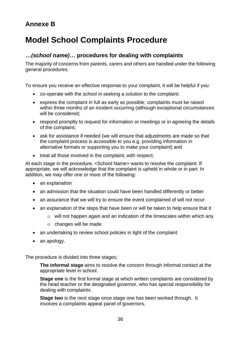## **Annexe B**

# **Model School Complaints Procedure**

#### *…(school name)…* **procedures for dealing with complaints**

The majority of concerns from parents, carers and others are handled under the following general procedures.

To ensure you receive an effective response to your complaint, it will be helpful if you:

- co-operate with the school in seeking a solution to the complaint;
- express the complaint in full as early as possible; complaints must be raised within three months of an incident occurring (although exceptional circumstances will be considered;
- respond promptly to request for information or meetings or in agreeing the details of the complaint;
- ask for assistance if needed (we will ensure that adjustments are made so that the complaint process is accessible to you e.g. providing information in alternative formats or supporting you to make your complaint) and
- treat all those involved in the complaint, with respect.

At each stage in the procedure, <School Name> wants to resolve the complaint. If appropriate, we will acknowledge that the complaint is upheld in whole or in part. In addition, we may offer one or more of the following:

- an explanation
- an admission that the situation could have been handled differently or better
- an assurance that we will try to ensure the event complained of will not recur
- an explanation of the steps that have been or will be taken to help ensure that it
	- o will not happen again and an indication of the timescales within which any
	- o changes will be made
- an undertaking to review school policies in light of the complaint
- an apology.

The procedure is divided into three stages;

**The informal stage** aims to resolve the concern through informal contact at the appropriate level in school.

**Stage one** is the first formal stage at which written complaints are considered by the head teacher or the designated governor, who has special responsibility for dealing with complaints.

**Stage two** is the next stage once stage one has been worked through. It involves a complaints appeal panel of governors.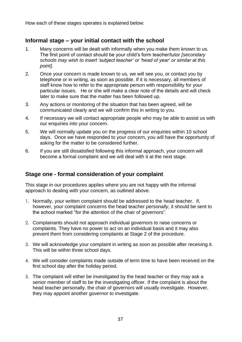How each of these stages operates is explained below:

#### **Informal stage – your initial contact with the school**

- 1. Many concerns will be dealt with informally when you make them known to us. The first point of contact should be your child's form teacher/tutor *[secondary schools may wish to insert 'subject teacher' or 'head of year' or similar at this point]*.
- 2. Once your concern is made known to us, we will see you, or contact you by telephone or in writing, as soon as possible. If it is necessary, all members of staff know how to refer to the appropriate person with responsibility for your particular issues. He or she will make a clear note of the details and will check later to make sure that the matter has been followed up.
- 3. Any actions or monitoring of the situation that has been agreed, will be communicated clearly and we will confirm this in writing to you.
- 4. If necessary we will contact appropriate people who may be able to assist us with our enquiries into your concern.
- 5. We will normally update you on the progress of our enquiries within 10 school days. Once we have responded to your concern, you will have the opportunity of asking for the matter to be considered further.
- 6. If you are still dissatisfied following this informal approach, your concern will become a formal complaint and we will deal with it at the next stage.

#### **Stage one - formal consideration of your complaint**

This stage in our procedures applies where you are not happy with the informal approach to dealing with your concern, as outlined above.

- 1. Normally, your written complaint should be addressed to the head teacher. If, however, your complaint concerns the head teacher *personally*, it should be sent to the school marked "for the attention of the chair of governors".
- 2. Complainants should not approach individual governors to raise concerns or complaints. They have no power to act on an individual basis and it may also prevent them from considering complaints at Stage 2 of the procedure.
- 3. We will acknowledge your complaint in writing as soon as possible after receiving it. This will be within three school days.
- 4. We will consider complaints made outside of term time to have been received on the first school day after the holiday period.
- 5. The complaint will either be investigated by the head teacher or they may ask a senior member of staff to be the investigating officer. If the complaint is about the head teacher personally, the chair of governors will usually investigate. However, they may appoint another governor to investigate.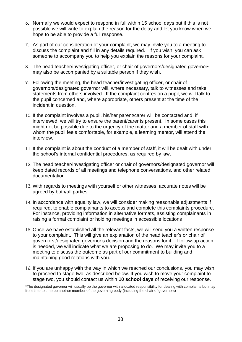- 6. Normally we would expect to respond in full within 15 school days but if this is not possible we will write to explain the reason for the delay and let you know when we hope to be able to provide a full response.
- 7. As part of our consideration of your complaint, we may invite you to a meeting to discuss the complaint and fill in any details required. If you wish, you can ask someone to accompany you to help you explain the reasons for your complaint.
- 8. The head teacher/investigating officer, or chair of governors/designated governor**\*** may also be accompanied by a suitable person if they wish.
- 9. Following the meeting, the head teacher/investigating officer, or chair of governors*/*designated governor will, where necessary, talk to witnesses and take statements from others involved. If the complaint centres on a pupil, we will talk to the pupil concerned and, where appropriate, others present at the time of the incident in question.
- 10. If the complaint involves a pupil, his/her parent/carer will be contacted and, if interviewed, we will try to ensure the parent/carer is present. In some cases this might not be possible due to the urgency of the matter and a member of staff with whom the pupil feels comfortable, for example, a learning mentor, will attend the interview.
- 11. If the complaint is about the conduct of a member of staff, it will be dealt with under the school's internal confidential procedures, as required by law.
- 12. The head teacher/investigating officer or chair of governors/designated governor will keep dated records of all meetings and telephone conversations, and other related documentation.
- 13. With regards to meetings with yourself or other witnesses, accurate notes will be agreed by both/all parties.
- 14. In accordance with equality law, we will consider making reasonable adjustments if required, to enable complainants to access and complete this complaints procedure. For instance, providing information in alternative formats, assisting complainants in raising a formal complaint or holding meetings in accessible locations
- 15. Once we have established all the relevant facts, we will send you a written response to your complaint. This will give an explanation of the head teacher's or chair of governors'/designated governor's decision and the reasons for it. If follow-up action is needed, we will indicate what we are proposing to do. We may invite you to a meeting to discuss the outcome as part of our commitment to building and maintaining good relations with you.
- 16. If you are unhappy with the way in which we reached our conclusions, you may wish to proceed to stage two, as described below. If you wish to move your complaint to stage two, you should contact us within **10 school days** of receiving our response.

\*The designated governor will usually be the governor with allocated responsibility for dealing with complaints but may from time to time be another member of the governing body (including the chair of governors)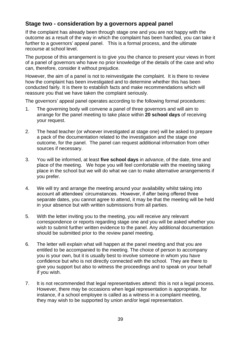#### **Stage two - consideration by a governors appeal panel**

If the complaint has already been through stage one and you are not happy with the outcome as a result of the way in which the complaint has been handled, you can take it further to a governors' appeal panel. This is a formal process, and the ultimate recourse at school level.

The purpose of this arrangement is to give you the chance to present your views in front of a panel of governors who have no prior knowledge of the details of the case and who can, therefore, consider it without prejudice.

However, the aim of a panel is not to reinvestigate the complaint. It is there to review how the complaint has been investigated and to determine whether this has been conducted fairly. It is there to establish facts and make recommendations which will reassure you that we have taken the complaint seriously.

The governors' appeal panel operates according to the following formal procedures:

- 1. The governing body will convene a panel of three governors and will aim to arrange for the panel meeting to take place within **20 school days** of receiving your request.
- 2. The head teacher (or whoever investigated at stage one) will be asked to prepare a pack of the documentation related to the investigation and the stage one outcome, for the panel. The panel can request additional information from other sources if necessary.
- 3. You will be informed, at least **five school days** in advance, of the date, time and place of the meeting. We hope you will feel comfortable with the meeting taking place in the school but we will do what we can to make alternative arrangements if you prefer.
- 4. We will try and arrange the meeting around your availability whilst taking into account all attendees' circumstances. However, if after being offered three separate dates, you cannot agree to attend, it may be that the meeting will be held in your absence but with written submissions from all parties.
- 5. With the letter inviting you to the meeting, you will receive any relevant correspondence or reports regarding stage one and you will be asked whether you wish to submit further written evidence to the panel. Any additional documentation should be submitted prior to the review panel meeting.
- 6. The letter will explain what will happen at the panel meeting and that you are entitled to be accompanied to the meeting. The choice of person to accompany you is your own, but it is usually best to involve someone in whom you have confidence but who is not directly connected with the school. They are there to give you support but also to witness the proceedings and to speak on your behalf if you wish.
- 7. It is not recommended that legal representatives attend: this is not a legal process. However, there may be occasions when legal representation is appropriate, for instance, if a school employee is called as a witness in a complaint meeting, they may wish to be supported by union and/or legal representation.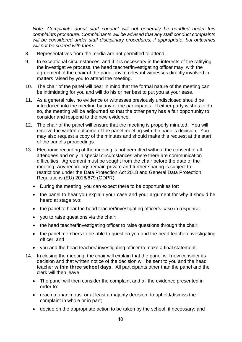*Note: Complaints about staff conduct will not generally be handled under this complaints procedure. Complainants will be advised that any staff conduct complaints will be considered under staff disciplinary procedures, if appropriate, but outcomes will not be shared with them.* 

- 8. Representatives from the media are not permitted to attend.
- 9. In exceptional circumstances, and if it is necessary in the interests of the ratifying the investigative process, the head teacher/investigating officer may, with the agreement of the chair of the panel, invite relevant witnesses directly involved in matters raised by you to attend the meeting.
- 10. The chair of the panel will bear in mind that the formal nature of the meeting can be intimidating for you and will do his or her best to put you at your ease.
- 11. As a general rule, no evidence or witnesses previously undisclosed should be introduced into the meeting by any of the participants. If either party wishes to do so, the meeting will be adjourned so that the other party has a fair opportunity to consider and respond to the new evidence.
- 12. The chair of the panel will ensure that the meeting is properly minuted. You will receive the written outcome of the panel meeting with the panel's decision. You may also request a copy of the minutes and should make this request at the start of the panel's proceedings.
- 13. Electronic recording of the meeting is not permitted without the consent of all attendees and only in special circumstances where there are communication difficulties. Agreement must be sought from the chair before the date of the meeting. Any recordings remain private and further sharing is subject to restrictions under the Data Protection Act 2018 and General Data Protection Regulations (EU) 2016/679 (GDPR).
	- During the meeting, you can expect there to be opportunities for:
	- the panel to hear you explain your case and your argument for why it should be heard at stage two;
	- the panel to hear the head teacher/investigating officer's case in response;
	- you to raise questions via the chair;
	- the head teacher/investigating officer to raise questions through the chair;
	- the panel members to be able to question you and the head teacher/investigating officer; and
	- you and the head teacher/ investigating officer to make a final statement.
- 14. In closing the meeting, the chair will explain that the panel will now consider its decision and that written notice of the decision will be sent to you and the head teacher **within three school days**. All participants other than the panel and the clerk will then leave.
	- The panel will then consider the complaint and all the evidence presented in order to:
	- reach a unanimous, or at least a majority decision, to uphold/dismiss the complaint in whole or in part;
	- decide on the appropriate action to be taken by the school, if necessary; and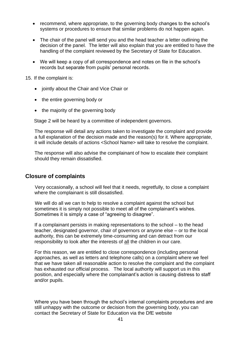- recommend, where appropriate, to the governing body changes to the school's systems or procedures to ensure that similar problems do not happen again.
- The chair of the panel will send you and the head teacher a letter outlining the decision of the panel. The letter will also explain that you are entitled to have the handling of the complaint reviewed by the Secretary of State for Education.
- We will keep a copy of all correspondence and notes on file in the school's records but separate from pupils' personal records.

15. If the complaint is:

- jointly about the Chair and Vice Chair or
- the entire governing body or
- the majority of the governing body

Stage 2 will be heard by a committee of independent governors.

The response will detail any actions taken to investigate the complaint and provide a full explanation of the decision made and the reason(s) for it. Where appropriate, it will include details of actions <School Name> will take to resolve the complaint.

The response will also advise the complainant of how to escalate their complaint should they remain dissatisfied.

#### **Closure of complaints**

Very occasionally, a school will feel that it needs, regretfully, to close a complaint where the complainant is still dissatisfied.

We will do all we can to help to resolve a complaint against the school but sometimes it is simply not possible to meet all of the complainant's wishes. Sometimes it is simply a case of "agreeing to disagree".

If a complainant persists in making representations to the school – to the head teacher, designated governor, chair of governors or anyone else – or to the local authority, this can be extremely time-consuming and can detract from our responsibility to look after the interests of all the children in our care.

For this reason, we are entitled to close correspondence (including personal approaches, as well as letters and telephone calls) on a complaint where we feel that we have taken all reasonable action to resolve the complaint and the complaint has exhausted our official process. The local authority will support us in this position, and especially where the complainant's action is causing distress to staff and/or pupils.

Where you have been through the school's internal complaints procedures and are still unhappy with the outcome or decision from the governing body, you can contact the Secretary of State for Education via the DfE website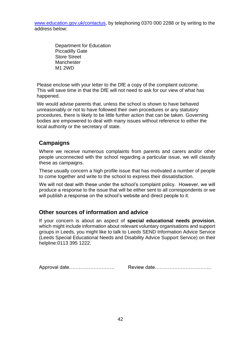[www.education.gov.uk/contactus,](http://www.education.gov.uk/contactus) by telephoning 0370 000 2288 or by writing to the address below:

> Department for Education Piccadilly Gate Store Street Manchester M1 2WD

Please enclose with your letter to the DfE a copy of the complaint outcome. This will save time in that the DfE will not need to ask for our view of what has happened.

We would advise parents that, unless the school is shown to have behaved unreasonably or not to have followed their own procedures or any statutory procedures, there is likely to be little further action that can be taken. Governing bodies are empowered to deal with many issues without reference to either the local authority or the secretary of state.

#### **Campaigns**

Where we receive numerous complaints from parents and carers and/or other people unconnected with the school regarding a particular issue, we will classify these as campaigns.

These usually concern a high profile issue that has motivated a number of people to come together and write to the school to express their dissatisfaction.

We will not deal with these under the school's complaint policy. However, we will produce a response to the issue that will be either sent to all correspondents or we will publish a response on the school's website and direct people to it.

#### **Other sources of information and advice**

If your concern is about an aspect of **special educational needs provision**, which might include information about relevant voluntary organisations and support groups in Leeds, you might like to talk to Leeds SEND Information Advice Service (Leeds Special Educational Needs and Disability Advice Support Service) on their helpline:0113 395 1222.

Approval date………………………. Review date……………………………..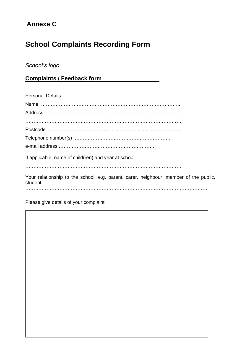# **Annexe C**

# **School Complaints Recording Form**

## *School's logo*

**Complaints / Feedback form**

| If applicable, name of child(ren) and year at school                                              |
|---------------------------------------------------------------------------------------------------|
| Your relationship to the school, e.g. parent, carer, neighbour, member of the public,<br>student: |
|                                                                                                   |

Please give details of your complaint: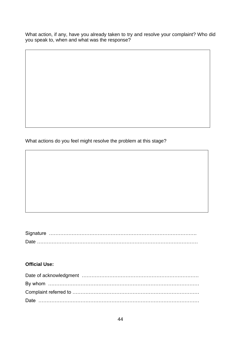What action, if any, have you already taken to try and resolve your complaint? Who did you speak to, when and what was the response?

What actions do you feel might resolve the problem at this stage?

#### **Official Use:**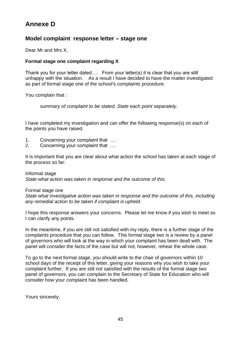## **Annexe D**

#### **Model complaint response letter – stage one**

Dear Mr and Mrs X,

#### **Formal stage one complaint regarding X**

Thank you for your letter dated…. From your letter(s) it is clear that you are still unhappy with the situation. As a result I have decided to have the matter investigated as part of formal stage one of the school's complaints procedure.

You complain that :

*summary of complaint to be stated. State each point separately.*

I have completed my investigation and can offer the following response(s) on each of the points you have raised.

- 1. Concerning your complaint that ….
- 2. Concerning your complaint that ….

It is important that you are clear about what action the school has taken at each stage of the process so far:

Informal stage

*State what action was taken in response and the outcome of this.* 

#### Formal stage one

*State what investigative action was taken in response and the outcome of this, including any remedial action to be taken if complaint is upheld.*

I hope this response answers your concerns. Please let me know if you wish to meet so I can clarify any points.

In the meantime, if you are still not satisfied with my reply, there is a further stage of the complaints procedure that you can follow. This formal stage two is a review by a panel of governors who will look at the way in which your complaint has been dealt with. The panel will consider the facts of the case but will not, however, rehear the whole case.

To go to the next formal stage, you should write to the chair of governors within 10 school days of the receipt of this letter, giving your reasons why you wish to take your complaint further. If you are still not satisfied with the results of the formal stage two panel of governors, you can complain to the Secretary of State for Education who will consider how your complaint has been handled.

Yours sincerely,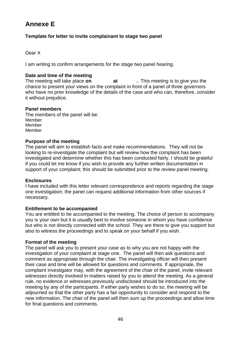## **Annexe E**

#### **Template for letter to invite complainant to stage two panel**

#### Dear X

I am writing to confirm arrangements for the stage two panel hearing.

#### **Date and time of the meeting**

The meeting will take place **on at .** This meeting is to give you the chance to present your views on the complaint in front of a panel of three governors who have no prior knowledge of the details of the case and who can, therefore, consider it without prejudice.

#### **Panel members**

The members of the panel will be: Member Member Member

#### **Purpose of the meeting**

The panel will aim to establish facts and make recommendations. They will not be looking to re-investigate the complaint but will review how the complaint has been investigated and determine whether this has been conducted fairly. I should be grateful if you could let me know if you wish to provide any further written documentation in support of your complaint; this should be submitted prior to the review panel meeting.

#### **Enclosures**

I have included with this letter relevant correspondence and reports regarding the stage one investigation; the panel can request additional information from other sources if necessary.

#### **Entitlement to be accompanied**

You are entitled to be accompanied to the meeting. The choice of person to accompany you is your own but it is usually best to involve someone in whom you have confidence but who is not directly connected with the school. They are there to give you support but also to witness the proceedings and to speak on your behalf if you wish.

#### **Format of the meeting**

The panel will ask you to present your case as to why you are not happy with the investigation of your complaint at stage one. The panel will then ask questions and comment as appropriate through the chair. The investigating officer will then present their case and time will be allowed for questions and comments. If appropriate, the complaint investigator may, with the agreement of the chair of the panel, invite relevant witnesses directly involved in matters raised by you to attend the meeting. As a general rule, no evidence or witnesses previously undisclosed should be introduced into the meeting by any of the participants. If either party wishes to do so, the meeting will be adjourned so that the other party has a fair opportunity to consider and respond to the new information. The chair of the panel will then sum up the proceedings and allow time for final questions and comments.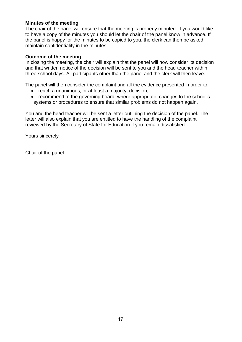#### **Minutes of the meeting**

The chair of the panel will ensure that the meeting is properly minuted. If you would like to have a copy of the minutes you should let the chair of the panel know in advance. If the panel is happy for the minutes to be copied to you, the clerk can then be asked maintain confidentiality in the minutes.

#### **Outcome of the meeting**

In closing the meeting, the chair will explain that the panel will now consider its decision and that written notice of the decision will be sent to you and the head teacher within three school days. All participants other than the panel and the clerk will then leave.

The panel will then consider the complaint and all the evidence presented in order to:

- reach a unanimous, or at least a majority, decision;
- recommend to the governing board, where appropriate, changes to the school's systems or procedures to ensure that similar problems do not happen again.

You and the head teacher will be sent a letter outlining the decision of the panel. The letter will also explain that you are entitled to have the handling of the complaint reviewed by the Secretary of State for Education if you remain dissatisfied.

Yours sincerely

Chair of the panel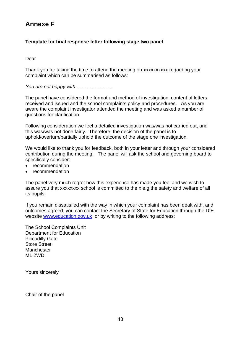## **Annexe F**

#### **Template for final response letter following stage two panel**

Dear

Thank you for taking the time to attend the meeting on xxxxxxxxxx regarding your complaint which can be summarised as follows:

*You are not happy with …………………..*

The panel have considered the format and method of investigation, content of letters received and issued and the school complaints policy and procedures. As you are aware the complaint investigator attended the meeting and was asked a number of questions for clarification.

Following consideration we feel a detailed investigation was/was not carried out, and this was/was not done fairly. Therefore, the decision of the panel is to uphold/overturn/partially uphold the outcome of the stage one investigation.

We would like to thank you for feedback, both in your letter and through your considered contribution during the meeting. The panel will ask the school and governing board to specifically consider:

- recommendation
- recommendation

The panel very much regret how this experience has made you feel and we wish to assure you that xxxxxxxx school is committed to the x e.g the safety and welfare of all its pupils.

If you remain dissatisfied with the way in which your complaint has been dealt with, and outcomes agreed, you can contact the Secretary of State for Education through the DfE website [www.education.gov.uk](http://www.education.gov.uk/) or by writing to the following address:

The School Complaints Unit Department for Education Piccadilly Gate Store Street **Manchester** M1 2WD

Yours sincerely

Chair of the panel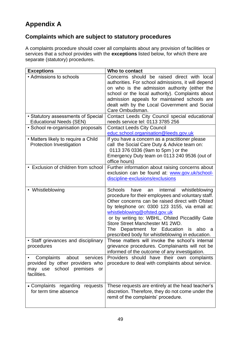# **Appendix A**

## **Complaints which are subject to statutory procedures**

A complaints procedure should cover all complaints about any provision of facilities or services that a school provides with the **exceptions** listed below, for which there are separate (statutory) procedures.

| <b>Exceptions</b>                                                                                               | Who to contact                                                                                                                                                                                                                                                                                                                                                                                                                                   |
|-----------------------------------------------------------------------------------------------------------------|--------------------------------------------------------------------------------------------------------------------------------------------------------------------------------------------------------------------------------------------------------------------------------------------------------------------------------------------------------------------------------------------------------------------------------------------------|
| • Admissions to schools                                                                                         | Concerns should be raised direct with local<br>authorities. For school admissions, it will depend<br>on who is the admission authority (either the<br>school or the local authority). Complaints about<br>admission appeals for maintained schools are<br>dealt with by the Local Government and Social<br>Care Ombudsman.                                                                                                                       |
| • Statutory assessments of Special<br><b>Educational Needs (SEN)</b>                                            | Contact Leeds City Council special educational<br>needs service tel: 0113 3785 256                                                                                                                                                                                                                                                                                                                                                               |
| • School re-organisation proposals                                                                              | <b>Contact Leeds City Council</b><br>educ.school.organisation@leeds.gov.uk                                                                                                                                                                                                                                                                                                                                                                       |
| • Matters likely to require a Child<br><b>Protection Investigation</b>                                          | If you have a concern as a practitioner please<br>call the Social Care Duty & Advice team on:<br>0113 376 0336 (9am to 5pm) or the<br>Emergency Duty team on 0113 240 9536 (out of<br>office hours)                                                                                                                                                                                                                                              |
| • Exclusion of children from school                                                                             | Further information about raising concerns about<br>exclusion can be found at: www.gov.uk/school-<br>discipline-exclusions/exclusions                                                                                                                                                                                                                                                                                                            |
| • Whistleblowing                                                                                                | <b>Schools</b><br>have<br>internal<br>whistleblowing<br>an<br>procedure for their employees and voluntary staff.<br>Other concerns can be raised direct with Ofsted<br>by telephone on: 0300 123 3155, via email at:<br>whistleblowing@ofsted.gov.uk<br>or by writing to: WBHL, Ofsted Piccadilly Gate<br>Store Street Manchester M1 2WD.<br>Department for Education is<br>The<br>also<br>a<br>prescribed body for whistleblowing in education. |
| • Staff grievances and disciplinary<br>procedures                                                               | These matters will invoke the school's internal<br>grievance procedures. Complainants will not be<br>informed of the outcome of any investigation.                                                                                                                                                                                                                                                                                               |
| Complaints about services<br>provided by other providers who<br>school premises<br>may use<br>or<br>facilities. | Providers should have their own complaints<br>procedure to deal with complaints about service.                                                                                                                                                                                                                                                                                                                                                   |
| • Complaints regarding requests<br>for term time absence                                                        | These requests are entirely at the head teacher's<br>discretion. Therefore, they do not come under the<br>remit of the complaints' procedure.                                                                                                                                                                                                                                                                                                    |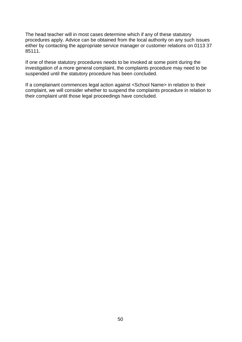The head teacher will in most cases determine which if any of these statutory procedures apply. Advice can be obtained from the local authority on any such issues either by contacting the appropriate service manager or customer relations on 0113 37 85111.

If one of these statutory procedures needs to be invoked at some point during the investigation of a more general complaint, the complaints procedure may need to be suspended until the statutory procedure has been concluded.

If a complainant commences legal action against <School Name> in relation to their complaint, we will consider whether to suspend the complaints procedure in relation to their complaint until those legal proceedings have concluded.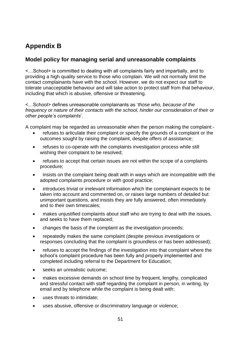# **Appendix B**

#### **Model policy for managing serial and unreasonable complaints**

<…School> is committed to dealing with all complaints fairly and impartially, and to providing a high quality service to those who complain. We will not normally limit the contact complainants have with the school. However, we do not expect our staff to tolerate unacceptable behaviour and will take action to protect staff from that behaviour, including that which is abusive, offensive or threatening.

<…School> defines unreasonable complainants as '*those who, because of the frequency or nature of their contacts with the school, hinder our consideration of their or other people's complaints*'.

A complaint may be regarded as unreasonable when the person making the complaint:-

- refuses to articulate their complaint or specify the grounds of a complaint or the outcomes sought by raising the complaint, despite offers of assistance;
- refuses to co-operate with the complaints investigation process while still wishing their complaint to be resolved;
- refuses to accept that certain issues are not within the scope of a complaints procedure;
- insists on the complaint being dealt with in ways which are incompatible with the adopted complaints procedure or with good practice;
- introduces trivial or irrelevant information which the complainant expects to be taken into account and commented on, or raises large numbers of detailed but unimportant questions, and insists they are fully answered, often immediately and to their own timescales;
- makes unjustified complaints about staff who are trying to deal with the issues, and seeks to have them replaced;
- changes the basis of the complaint as the investigation proceeds;
- repeatedly makes the same complaint (despite previous investigations or responses concluding that the complaint is groundless or has been addressed);
- refuses to accept the findings of the investigation into that complaint where the school's complaint procedure has been fully and properly implemented and completed including referral to the Department for Education;
- seeks an unrealistic outcome:
- makes excessive demands on school time by frequent, lengthy, complicated and stressful contact with staff regarding the complaint in person, in writing, by email and by telephone while the complaint is being dealt with;
- uses threats to intimidate:
- uses abusive, offensive or discriminatory language or violence;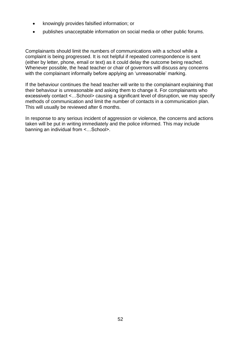- knowingly provides falsified information; or
- publishes unacceptable information on social media or other public forums.

Complainants should limit the numbers of communications with a school while a complaint is being progressed. It is not helpful if repeated correspondence is sent (either by letter, phone, email or text) as it could delay the outcome being reached. Whenever possible, the head teacher or chair of governors will discuss any concerns with the complainant informally before applying an 'unreasonable' marking.

If the behaviour continues the head teacher will write to the complainant explaining that their behaviour is unreasonable and asking them to change it. For complainants who excessively contact <…School> causing a significant level of disruption, we may specify methods of communication and limit the number of contacts in a communication plan. This will usually be reviewed after 6 months.

In response to any serious incident of aggression or violence, the concerns and actions taken will be put in writing immediately and the police informed. This may include banning an individual from <…School>.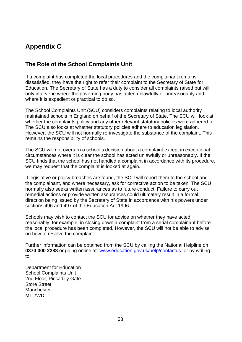## **Appendix C**

#### **The Role of the School Complaints Unit**

If a complaint has completed the local procedures and the complainant remains dissatisfied, they have the right to refer their complaint to the Secretary of State for Education. The Secretary of State has a duty to consider all complaints raised but will only intervene where the governing body has acted unlawfully or unreasonably and where it is expedient or practical to do so.

The School Complaints Unit (SCU) considers complaints relating to local authority maintained schools in England on behalf of the Secretary of State. The SCU will look at whether the complaints policy and any other relevant statutory policies were adhered to. The SCU also looks at whether statutory policies adhere to education legislation. However, the SCU will not normally re-investigate the substance of the complaint. This remains the responsibility of schools.

The SCU will not overturn a school's decision about a complaint except in exceptional circumstances where it is clear the school has acted unlawfully or unreasonably. If the SCU finds that the school has not handled a complaint in accordance with its procedure, we may request that the complaint is looked at again.

If legislative or policy breaches are found, the SCU will report them to the school and the complainant, and where necessary, ask for corrective action to be taken. The SCU normally also seeks written assurances as to future conduct. Failure to carry out remedial actions or provide written assurances could ultimately result in a formal direction being issued by the Secretary of State in accordance with his powers under sections 496 and 497 of the Education Act 1996.

Schools may wish to contact the SCU for advice on whether they have acted reasonably; for example: in closing down a complaint from a serial complainant before the local procedure has been completed. However, the SCU will not be able to advise on how to resolve the complaint.

Further information can be obtained from the SCU by calling the National Helpline on **0370 000 2288** or going online at: [www.education.gov.uk/help/contactus](http://www.education.gov.uk/help/contactus) or by writing to:

Department for Education School Complaints Unit 2nd Floor, Piccadilly Gate Store Street **Manchester** M1 2WD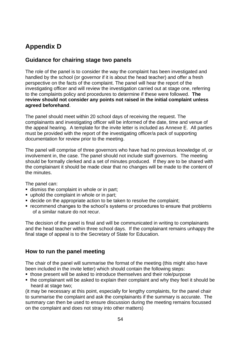# **Appendix D**

#### **Guidance for chairing stage two panels**

The role of the panel is to consider the way the complaint has been investigated and handled by the school (or governor if it is about the head teacher) and offer a fresh perspective on the facts of the complaint. The panel will hear the report of the investigating officer and will review the investigation carried out at stage one, referring to the complaints policy and procedures to determine if these were followed. **The review should not consider any points not raised in the initial complaint unless agreed beforehand**.

The panel should meet within 20 school days of receiving the request. The complainants and investigating officer will be informed of the date, time and venue of the appeal hearing. A template for the invite letter is included as Annexe E. All parties must be provided with the report of the investigating officer/a pack of supporting documentation for review prior to the meeting.

The panel will comprise of three governors who have had no previous knowledge of, or involvement in, the case. The panel should not include staff governors. The meeting should be formally clerked and a set of minutes produced. If they are to be shared with the complainant it should be made clear that no changes will be made to the content of the minutes.

The panel can:

- dismiss the complaint in whole or in part;
- uphold the complaint in whole or in part;
- decide on the appropriate action to be taken to resolve the complaint;
- recommend changes to the school's systems or procedures to ensure that problems of a similar nature do not recur.

The decision of the panel is final and will be communicated in writing to complainants and the head teacher within three school days. If the complainant remains unhappy the final stage of appeal is to the Secretary of State for Education.

#### **How to run the panel meeting**

The chair of the panel will summarise the format of the meeting (this might also have been included in the invite letter) which should contain the following steps:

- those present will be asked to introduce themselves and their role/purpose
- the complainant will be asked to explain their complaint and why they feel it should be heard at stage two;

(it may be necessary at this point, especially for lengthy complaints, for the panel chair to summarise the complaint and ask the complainants if the summary is accurate. The summary can then be used to ensure discussion during the meeting remains focussed on the complaint and does not stray into other matters)